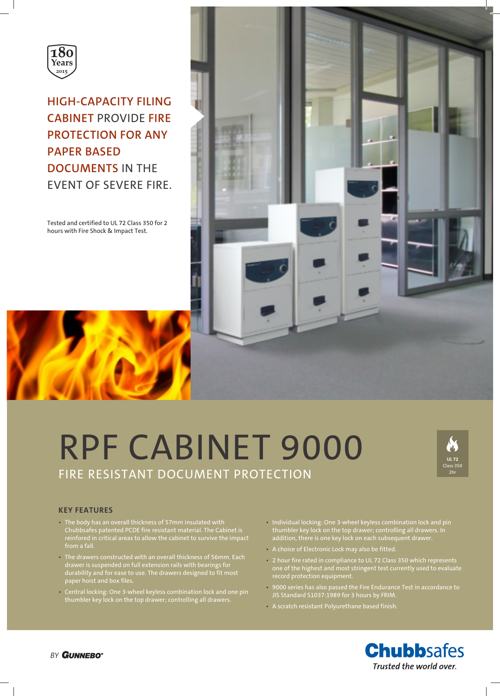

**HIGH-CAPACITY FILING CABINET** PROVIDE **FIRE PROTECTION FOR ANY PAPER BASED DOCUMENTS** IN THE EVENT OF SEVERE FIRE.

Tested and certified to UL 72 Class 350 for 2 hours with Fire Shock & Impact Test.



# RPF CABINET 9000 FIRE RESISTANT DOCUMENT PROTECTION



# **KEY FEATURES**

- The body has an overall thickness of 57mm insulated with Chubbsafes patented PCDE fire resistant material. The Cabinet is reinfored in critical areas to allow the cabinet to survive the impact from a fall.
- The drawers constructed with an overall thickness of 56mm. Each drawer is suspended on full extension rails with bearings for durability and for ease to use. The drawers designed to fit most
- Central locking: One 3-wheel keyless combination lock and one pin thumbler key lock on the top drawer; controlling all drawers.
- Individual locking: One 3-wheel keyless combination lock and pin thumbler key lock on the top drawer; controlling all drawers. In addition, there is one key lock on each subsequent drawer.
- A choice of Electronic Lock may also be fitted.
- 2 hour fire rated in compliance to UL 72 Class 350 which represents one of the highest and most stringent test currently used to evaluate record protection equipment.
- 9000 series has also passed the Fire Endurance Test in accordance to JIS Standard S1037:1989 for 3 hours by FRIM.
- A scratch resistant Polyurethane based finish.